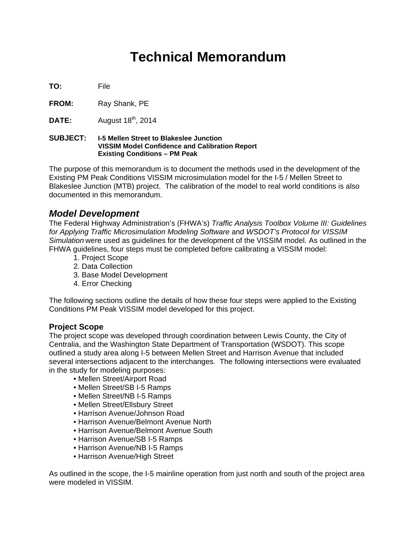## **Technical Memorandum**

**TO:** File

FROM: Ray Shank, PE

**DATE:** August 18<sup>th</sup>, 2014

#### **SUBJECT: I-5 Mellen Street to Blakeslee Junction VISSIM Model Confidence and Calibration Report Existing Conditions – PM Peak**

The purpose of this memorandum is to document the methods used in the development of the Existing PM Peak Conditions VISSIM microsimulation model for the I-5 / Mellen Street to Blakeslee Junction (MTB) project. The calibration of the model to real world conditions is also documented in this memorandum.

#### *Model Development*

The Federal Highway Administration's (FHWA's) *Traffic Analysis Toolbox Volume III: Guidelines for Applying Traffic Microsimulation Modeling Software* and *WSDOT's Protocol for VISSIM Simulation* were used as guidelines for the development of the VISSIM model*.* As outlined in the FHWA guidelines, four steps must be completed before calibrating a VISSIM model:

- 1. Project Scope
- 2. Data Collection
- 3. Base Model Development
- 4. Error Checking

The following sections outline the details of how these four steps were applied to the Existing Conditions PM Peak VISSIM model developed for this project.

#### **Project Scope**

The project scope was developed through coordination between Lewis County, the City of Centralia, and the Washington State Department of Transportation (WSDOT). This scope outlined a study area along I-5 between Mellen Street and Harrison Avenue that included several intersections adjacent to the interchanges. The following intersections were evaluated in the study for modeling purposes:

- Mellen Street/Airport Road
- Mellen Street/SB I-5 Ramps
- Mellen Street/NB I-5 Ramps
- Mellen Street/Ellsbury Street
- Harrison Avenue/Johnson Road
- Harrison Avenue/Belmont Avenue North
- Harrison Avenue/Belmont Avenue South
- Harrison Avenue/SB I-5 Ramps
- Harrison Avenue/NB I-5 Ramps
- Harrison Avenue/High Street

As outlined in the scope, the I-5 mainline operation from just north and south of the project area were modeled in VISSIM.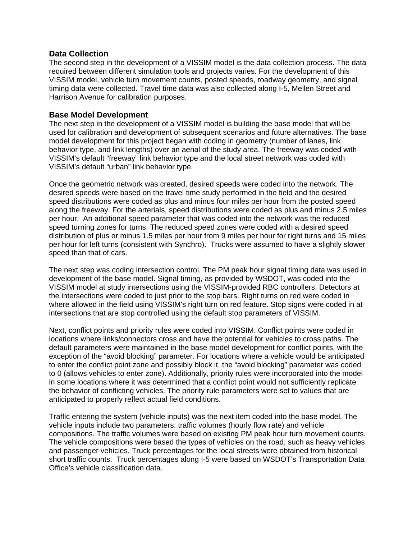#### **Data Collection**

The second step in the development of a VISSIM model is the data collection process. The data required between different simulation tools and projects varies. For the development of this VISSIM model, vehicle turn movement counts, posted speeds, roadway geometry, and signal timing data were collected. Travel time data was also collected along I-5, Mellen Street and Harrison Avenue for calibration purposes.

#### **Base Model Development**

The next step in the development of a VISSIM model is building the base model that will be used for calibration and development of subsequent scenarios and future alternatives. The base model development for this project began with coding in geometry (number of lanes, link behavior type, and link lengths) over an aerial of the study area. The freeway was coded with VISSIM's default "freeway" link behavior type and the local street network was coded with VISSIM's default "urban" link behavior type.

Once the geometric network was created, desired speeds were coded into the network. The desired speeds were based on the travel time study performed in the field and the desired speed distributions were coded as plus and minus four miles per hour from the posted speed along the freeway. For the arterials, speed distributions were coded as plus and minus 2.5 miles per hour. An additional speed parameter that was coded into the network was the reduced speed turning zones for turns. The reduced speed zones were coded with a desired speed distribution of plus or minus 1.5 miles per hour from 9 miles per hour for right turns and 15 miles per hour for left turns (consistent with Synchro). Trucks were assumed to have a slightly slower speed than that of cars.

The next step was coding intersection control. The PM peak hour signal timing data was used in development of the base model. Signal timing, as provided by WSDOT, was coded into the VISSIM model at study intersections using the VISSIM-provided RBC controllers. Detectors at the intersections were coded to just prior to the stop bars. Right turns on red were coded in where allowed in the field using VISSIM's right turn on red feature. Stop signs were coded in at intersections that are stop controlled using the default stop parameters of VISSIM.

Next, conflict points and priority rules were coded into VISSIM. Conflict points were coded in locations where links/connectors cross and have the potential for vehicles to cross paths. The default parameters were maintained in the base model development for conflict points, with the exception of the "avoid blocking" parameter. For locations where a vehicle would be anticipated to enter the conflict point zone and possibly block it, the "avoid blocking" parameter was coded to 0 (allows vehicles to enter zone). Additionally, priority rules were incorporated into the model in some locations where it was determined that a conflict point would not sufficiently replicate the behavior of conflicting vehicles. The priority rule parameters were set to values that are anticipated to properly reflect actual field conditions.

Traffic entering the system (vehicle inputs) was the next item coded into the base model. The vehicle inputs include two parameters: traffic volumes (hourly flow rate) and vehicle compositions. The traffic volumes were based on existing PM peak hour turn movement counts. The vehicle compositions were based the types of vehicles on the road, such as heavy vehicles and passenger vehicles. Truck percentages for the local streets were obtained from historical short traffic counts. Truck percentages along I-5 were based on WSDOT's Transportation Data Office's vehicle classification data.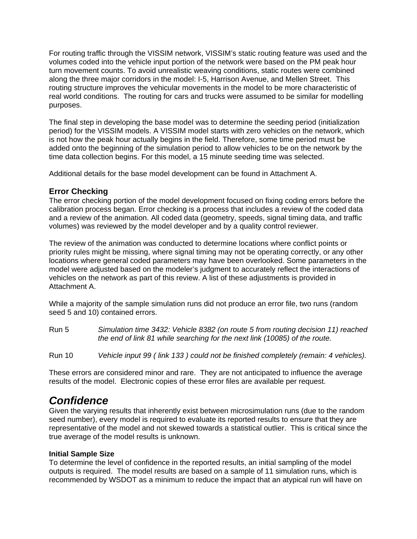For routing traffic through the VISSIM network, VISSIM's static routing feature was used and the volumes coded into the vehicle input portion of the network were based on the PM peak hour turn movement counts. To avoid unrealistic weaving conditions, static routes were combined along the three major corridors in the model: I-5, Harrison Avenue, and Mellen Street. This routing structure improves the vehicular movements in the model to be more characteristic of real world conditions. The routing for cars and trucks were assumed to be similar for modelling purposes.

The final step in developing the base model was to determine the seeding period (initialization period) for the VISSIM models. A VISSIM model starts with zero vehicles on the network, which is not how the peak hour actually begins in the field. Therefore, some time period must be added onto the beginning of the simulation period to allow vehicles to be on the network by the time data collection begins. For this model, a 15 minute seeding time was selected.

Additional details for the base model development can be found in Attachment A.

#### **Error Checking**

The error checking portion of the model development focused on fixing coding errors before the calibration process began. Error checking is a process that includes a review of the coded data and a review of the animation. All coded data (geometry, speeds, signal timing data, and traffic volumes) was reviewed by the model developer and by a quality control reviewer.

The review of the animation was conducted to determine locations where conflict points or priority rules might be missing, where signal timing may not be operating correctly, or any other locations where general coded parameters may have been overlooked. Some parameters in the model were adjusted based on the modeler's judgment to accurately reflect the interactions of vehicles on the network as part of this review. A list of these adjustments is provided in Attachment A.

While a majority of the sample simulation runs did not produce an error file, two runs (random seed 5 and 10) contained errors.

- Run 5 *Simulation time 3432: Vehicle 8382 (on route 5 from routing decision 11) reached the end of link 81 while searching for the next link (10085) of the route.*
- Run 10 *Vehicle input 99 ( link 133 ) could not be finished completely (remain: 4 vehicles).*

These errors are considered minor and rare. They are not anticipated to influence the average results of the model. Electronic copies of these error files are available per request.

### *Confidence*

Given the varying results that inherently exist between microsimulation runs (due to the random seed number), every model is required to evaluate its reported results to ensure that they are representative of the model and not skewed towards a statistical outlier. This is critical since the true average of the model results is unknown.

#### **Initial Sample Size**

To determine the level of confidence in the reported results, an initial sampling of the model outputs is required. The model results are based on a sample of 11 simulation runs, which is recommended by WSDOT as a minimum to reduce the impact that an atypical run will have on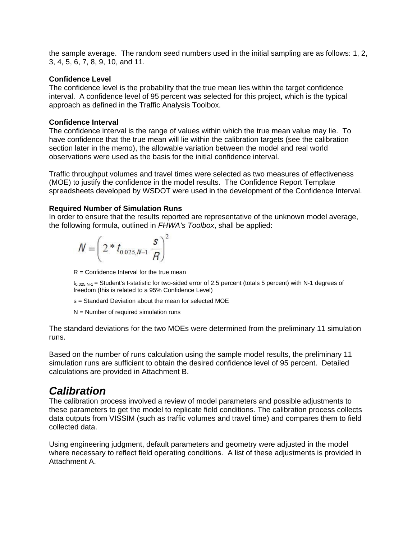the sample average. The random seed numbers used in the initial sampling are as follows: 1, 2, 3, 4, 5, 6, 7, 8, 9, 10, and 11.

#### **Confidence Level**

The confidence level is the probability that the true mean lies within the target confidence interval. A confidence level of 95 percent was selected for this project, which is the typical approach as defined in the Traffic Analysis Toolbox.

#### **Confidence Interval**

The confidence interval is the range of values within which the true mean value may lie. To have confidence that the true mean will lie within the calibration targets (see the calibration section later in the memo), the allowable variation between the model and real world observations were used as the basis for the initial confidence interval.

Traffic throughput volumes and travel times were selected as two measures of effectiveness (MOE) to justify the confidence in the model results. The Confidence Report Template spreadsheets developed by WSDOT were used in the development of the Confidence Interval.

#### **Required Number of Simulation Runs**

In order to ensure that the results reported are representative of the unknown model average, the following formula, outlined in *FHWA's Toolbox*, shall be applied:

$$
N = \left(2 * t_{0.025, N-1} \frac{s}{R}\right)^2
$$

 $R =$  Confidence Interval for the true mean

 $t_{0.025,N-1}$  = Student's t-statistic for two-sided error of 2.5 percent (totals 5 percent) with N-1 degrees of freedom (this is related to a 95% Confidence Level)

s = Standard Deviation about the mean for selected MOE

 $N =$  Number of required simulation runs

The standard deviations for the two MOEs were determined from the preliminary 11 simulation runs.

Based on the number of runs calculation using the sample model results, the preliminary 11 simulation runs are sufficient to obtain the desired confidence level of 95 percent. Detailed calculations are provided in Attachment B.

### *Calibration*

The calibration process involved a review of model parameters and possible adjustments to these parameters to get the model to replicate field conditions. The calibration process collects data outputs from VISSIM (such as traffic volumes and travel time) and compares them to field collected data.

Using engineering judgment, default parameters and geometry were adjusted in the model where necessary to reflect field operating conditions. A list of these adjustments is provided in Attachment A.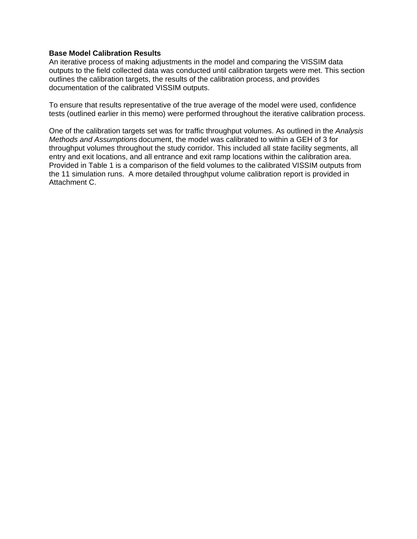#### **Base Model Calibration Results**

An iterative process of making adjustments in the model and comparing the VISSIM data outputs to the field collected data was conducted until calibration targets were met. This section outlines the calibration targets, the results of the calibration process, and provides documentation of the calibrated VISSIM outputs.

To ensure that results representative of the true average of the model were used, confidence tests (outlined earlier in this memo) were performed throughout the iterative calibration process.

One of the calibration targets set was for traffic throughput volumes. As outlined in the *Analysis Methods and Assumptions* document, the model was calibrated to within a GEH of 3 for throughput volumes throughout the study corridor. This included all state facility segments, all entry and exit locations, and all entrance and exit ramp locations within the calibration area. Provided in Table 1 is a comparison of the field volumes to the calibrated VISSIM outputs from the 11 simulation runs. A more detailed throughput volume calibration report is provided in Attachment C.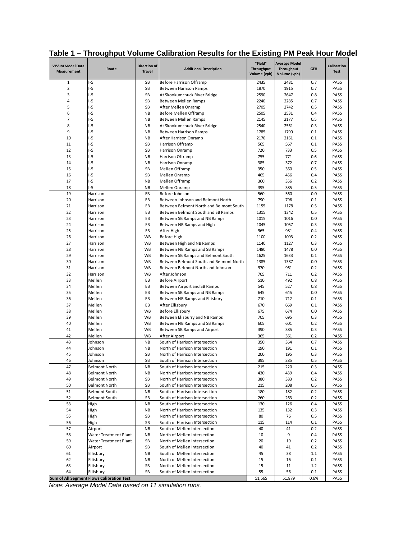| <b>VISSIM Model Data</b><br>Measurement | Route                                        | <b>Direction of</b><br><b>Travel</b> | <b>Additional Description</b>                                    | "Field"<br>Throughput<br>Volume (vph) | <b>Average Model</b><br><b>Throughput</b><br>Volume (vph) | <b>GEH</b> | <b>Calibration</b><br><b>Test</b> |
|-----------------------------------------|----------------------------------------------|--------------------------------------|------------------------------------------------------------------|---------------------------------------|-----------------------------------------------------------|------------|-----------------------------------|
| $\mathbf{1}$                            | $-5$                                         | SB                                   | Before Harrison Offramp                                          | 2435                                  | 2481                                                      | 0.7        | PASS                              |
| $\overline{2}$                          | $-5$                                         | SB                                   | Between Harrison Ramps                                           | 1870                                  | 1915                                                      | 0.7        | PASS                              |
| 3                                       | $-5$                                         | SB                                   | At Skookumchuck River Bridge                                     | 2590                                  | 2647                                                      | 0.8        | PASS                              |
| 4                                       | $-5$                                         | SB                                   | Between Mellen Ramps                                             | 2240                                  | 2285                                                      | 0.7        | PASS                              |
| 5                                       | $-5$                                         | SB                                   | After Mellen Onramp                                              | 2705                                  | 2742                                                      | 0.5        | PASS                              |
| 6                                       | $-5$                                         | <b>NB</b>                            | Before Mellen Offramp                                            | 2505                                  | 2531                                                      | 0.4        | PASS                              |
| $\overline{7}$                          | $-5$                                         | <b>NB</b>                            | Between Mellen Ramps                                             | 2145                                  | 2177                                                      | 0.5        | PASS                              |
| 8<br>9                                  | $-5$<br>$-5$                                 | <b>NB</b>                            | At Skookumchuck River Bridge                                     | 2540<br>1785                          | 2561                                                      | 0.3        | PASS                              |
| 10                                      | $-5$                                         | <b>NB</b><br><b>NB</b>               | Between Harrison Ramps<br>After Harrison Onramp                  | 2170                                  | 1790<br>2161                                              | 0.1<br>0.1 | PASS<br>PASS                      |
| 11                                      | $-5$                                         | SB                                   | Harrison Offramp                                                 | 565                                   | 567                                                       | 0.1        | PASS                              |
| 12                                      | $-5$                                         | SB                                   | Harrison Onramp                                                  | 720                                   | 733                                                       | 0.5        | PASS                              |
| 13                                      | $-5$                                         | <b>NB</b>                            | Harrison Offramp                                                 | 755                                   | 771                                                       | 0.6        | PASS                              |
| 14                                      | $-5$                                         | <b>NB</b>                            | Harrison Onramp                                                  | 385                                   | 372                                                       | 0.7        | PASS                              |
| 15                                      | $-5$                                         | SB                                   | Mellen Offramp                                                   | 350                                   | 360                                                       | 0.5        | PASS                              |
| 16                                      | $-5$                                         | SB                                   | Mellen Onramp                                                    | 465                                   | 456                                                       | 0.4        | PASS                              |
| 17                                      | $I-5$                                        | <b>NB</b>                            | Mellen Offramp                                                   | 360                                   | 356                                                       | 0.2        | PASS                              |
| 18                                      | $-5$                                         | <b>NB</b>                            | Mellen Onramp                                                    | 395                                   | 385                                                       | 0.5        | PASS                              |
| 19                                      | Harrison                                     | EB                                   | Before Johnson                                                   | 560                                   | 560                                                       | 0.0        | PASS                              |
| 20                                      | Harrison                                     | EB                                   | Between Johnson and Belmont North                                | 790                                   | 796                                                       | 0.1        | PASS                              |
| 21                                      | Harrison                                     | EB                                   | Between Belmont North and Belmont South                          | 1155                                  | 1178                                                      | 0.5        | PASS                              |
| 22                                      | Harrison                                     | EB                                   | Between Belmont South and SB Ramps                               | 1315                                  | 1342                                                      | 0.5        | PASS                              |
| 23                                      | Harrison                                     | EB                                   | Between SB Ramps and NB Ramps                                    | 1015                                  | 1016                                                      | 0.0        | PASS                              |
| 24                                      | Harrison                                     | EB                                   | Between NB Ramps and High                                        | 1045                                  | 1057                                                      | 0.3        | PASS                              |
| 25                                      | Harrison                                     | EB                                   | After High                                                       | 965                                   | 981                                                       | 0.4        | PASS                              |
| 26                                      | Harrison                                     | <b>WB</b>                            | Before High                                                      | 1100                                  | 1093                                                      | 0.2        | PASS                              |
| 27                                      | Harrison                                     | WB                                   | Between High and NB Ramps                                        | 1140                                  | 1127                                                      | 0.3        | PASS                              |
| 28                                      | Harrison                                     | <b>WB</b>                            | Between NB Ramps and SB Ramps                                    | 1480                                  | 1478                                                      | 0.0        | PASS                              |
| 29                                      | Harrison                                     | WB                                   | Between SB Ramps and Belmont South                               | 1625                                  | 1633                                                      | 0.1        | PASS                              |
| 30                                      | Harrison                                     | <b>WB</b>                            | Between Belmont South and Belmont North                          | 1385                                  | 1387                                                      | 0.0        | PASS                              |
| 31                                      | Harrison                                     | <b>WB</b>                            | Between Belmont North and Johnson                                | 970                                   | 961                                                       | 0.2        | PASS                              |
| 32<br>33                                | Harrison<br>Mellen                           | <b>WB</b><br>EB                      | After Johnson<br>Before Airport                                  | 705<br>510                            | 711<br>492                                                | 0.2<br>0.8 | PASS<br>PASS                      |
| 34                                      | Mellen                                       | EB                                   | Between Airport and SB Ramps                                     | 545                                   | 527                                                       | 0.8        | PASS                              |
| 35                                      | Mellen                                       | EB                                   | Between SB Ramps and NB Ramps                                    | 645                                   | 645                                                       | 0.0        | PASS                              |
| 36                                      | Mellen                                       | EB                                   | Between NB Ramps and Ellisbury                                   | 710                                   | 712                                                       | 0.1        | PASS                              |
| 37                                      | Mellen                                       | EB                                   | After Ellisbury                                                  | 670                                   | 669                                                       | 0.1        | PASS                              |
| 38                                      | Mellen                                       | <b>WB</b>                            | Before Ellisbury                                                 | 675                                   | 674                                                       | 0.0        | PASS                              |
| 39                                      | Mellen                                       | <b>WB</b>                            | Between Elisburry and NB Ramps                                   | 705                                   | 695                                                       | 0.3        | PASS                              |
| 40                                      | Mellen                                       | <b>WB</b>                            | Between NB Ramps and SB Ramps                                    | 605                                   | 601                                                       | 0.2        | PASS                              |
| 41                                      | Mellen                                       | <b>WB</b>                            | Between SB Ramps and Airport                                     | 390                                   | 385                                                       | 0.3        | PASS                              |
| 42                                      | Mellen                                       | <b>WB</b>                            | After Airport                                                    | 365                                   | 361                                                       | 0.2        | PASS                              |
| 43                                      | Johnson                                      | NB                                   | South of Harrison Intersection                                   | 350                                   | 364                                                       | 0.7        | PASS                              |
| 44                                      | Johnson                                      | <b>NB</b>                            | North of Harrison Intersection                                   | 190                                   | 191                                                       | 0.1        | PASS                              |
| 45                                      | Johnson                                      | SB                                   | North of Harrison Intersection                                   | 200                                   | 195                                                       | 0.3        | PASS                              |
| 46                                      | Johnson                                      | <b>SB</b>                            | South of Harrison Intersection                                   | 395                                   | 385                                                       | 0.5        | PASS                              |
| 47                                      | Belmont North                                | ΝB                                   | South of Harrison Intersection                                   | 215                                   | 220                                                       | 0.3        | PASS                              |
| 48                                      | <b>Belmont North</b>                         | <b>NB</b>                            | North of Harrison Intersection                                   | 430                                   | 439                                                       | 0.4        | PASS                              |
| 49                                      | <b>Belmont North</b>                         | SB                                   | North of Harrison Intersection                                   | 380                                   | 383                                                       | 0.2        | PASS                              |
| 50<br>51                                | <b>Belmont North</b><br><b>Belmont South</b> | SB<br><b>NB</b>                      | South of Harrison Intersection<br>South of Harrison Intersection | 215<br>180                            | 208<br>182                                                | 0.5        | PASS<br>PASS                      |
|                                         |                                              |                                      |                                                                  |                                       |                                                           | 0.2        |                                   |
| 52<br>53                                | <b>Belmont South</b><br>High                 | SB<br><b>NB</b>                      | South of Harrison Intersection<br>South of Harrison Intersection | 260<br>130                            | 263<br>126                                                | 0.2<br>0.4 | PASS<br>PASS                      |
| 54                                      | High                                         | <b>NB</b>                            | North of Harrison Intersection                                   | 135                                   | 132                                                       | 0.3        | PASS                              |
| 55                                      | High                                         | SB                                   | North of Harrison Intersection                                   | 80                                    | 76                                                        | 0.5        | PASS                              |
| 56                                      | High                                         | SB                                   | South of Harrison Intersection                                   | 115                                   | 114                                                       | 0.1        | PASS                              |
| 57                                      | Airport                                      | <b>NB</b>                            | South of Mellen Intersection                                     | 40                                    | 41                                                        | 0.2        | PASS                              |
| 58                                      | Water Treatment Plant                        | <b>NB</b>                            | North of Mellen Intersection                                     | 10                                    | 9                                                         | 0.4        | PASS                              |
| 59                                      | Water Treatment Plant                        | SB                                   | North of Mellen Intersection                                     | 20                                    | 19                                                        | 0.2        | PASS                              |
| 60                                      | Airport                                      | SB                                   | South of Mellen Intersection                                     | 40                                    | 41                                                        | 0.2        | PASS                              |
| 61                                      | Ellisbury                                    | ΝB                                   | South of Mellen Intersection                                     | 45                                    | 38                                                        | 1.1        | PASS                              |
| 62                                      | Ellisbury                                    | <b>NB</b>                            | North of Mellen Intersection                                     | 15                                    | 16                                                        | 0.1        | PASS                              |
| 63                                      | Ellisbury                                    | SB                                   | North of Mellen Intersection                                     | 15                                    | 11                                                        | 1.2        | PASS                              |
| 64                                      | Ellisbury                                    | SB                                   | South of Mellen Intersection                                     | 55                                    | 56                                                        | 0.1        | PASS                              |
|                                         | Sum of All Segment Flows Calibration Test    |                                      |                                                                  | 51,565                                | 51,879                                                    | 0.6%       | PASS                              |

**Table 1 – Throughput Volume Calibration Results for the Existing PM Peak Hour Model**

*Note: Average Model Data based on 11 simulation runs.*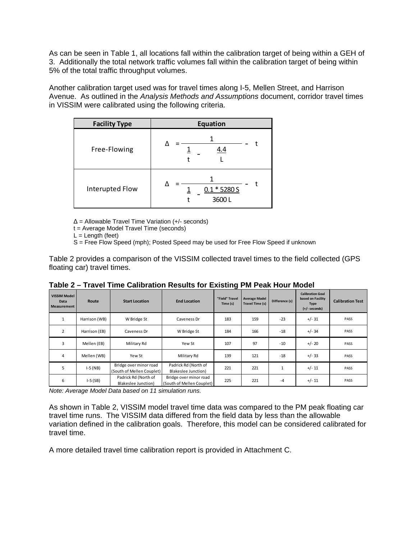As can be seen in Table 1, all locations fall within the calibration target of being within a GEH of 3. Additionally the total network traffic volumes fall within the calibration target of being within 5% of the total traffic throughput volumes.

Another calibration target used was for travel times along I-5, Mellen Street, and Harrison Avenue. As outlined in the *Analysis Methods and Assumptions* document, corridor travel times in VISSIM were calibrated using the following criteria.

| <b>Facility Type</b> | <b>Equation</b>         |  |  |  |  |  |  |
|----------------------|-------------------------|--|--|--|--|--|--|
| Free-Flowing         | 4.4                     |  |  |  |  |  |  |
| Interupted Flow      | $0.1 * 5280 S$<br>3600L |  |  |  |  |  |  |

∆ = Allowable Travel Time Variation (+/- seconds)

t = Average Model Travel Time (seconds)

 $L =$  Length (feet)

S = Free Flow Speed (mph); Posted Speed may be used for Free Flow Speed if unknown

Table 2 provides a comparison of the VISSIM collected travel times to the field collected (GPS floating car) travel times.

| <b>VISSIM Model</b><br>Data<br>Measurement | Route         | <b>Start Location</b>                               | <b>End Location</b>                                 | "Field" Travel<br>Time (s) | <b>Average Model</b><br>Travel Time (s) | Difference (s) | <b>Calibration Goal</b><br>based on Facility<br><b>Type</b><br>$(+/-$ seconds) | <b>Calibration Test</b> |
|--------------------------------------------|---------------|-----------------------------------------------------|-----------------------------------------------------|----------------------------|-----------------------------------------|----------------|--------------------------------------------------------------------------------|-------------------------|
| $\mathbf{1}$                               | Harrison (WB) | W Bridge St                                         | Caveness Dr                                         | 183                        | 159                                     | $-23$          | $+/- 31$                                                                       | PASS                    |
| $\overline{2}$                             | Harrison (EB) | Caveness Dr                                         | W Bridge St                                         | 184                        | 166                                     | $-18$          | $+/- 34$                                                                       | PASS                    |
| 3                                          | Mellen (EB)   | Military Rd                                         | Yew St                                              |                            | 97                                      | $-10$          | $+/- 20$                                                                       | PASS                    |
| $\overline{4}$                             | Mellen (WB)   | Yew St                                              | Military Rd                                         | 139                        | 121                                     | $-18$          | $+/- 33$                                                                       | PASS                    |
| 5                                          | $I-5(NB)$     | Bridge over minor road<br>(South of Mellen Couplet) | Padrick Rd (North of<br>Blakeslee Junction)         | 221                        | 221                                     |                | $+/- 11$                                                                       | PASS                    |
| 6                                          | $I-5(SB)$     | Padrick Rd (North of<br>Blakeslee Junction)         | Bridge over minor road<br>(South of Mellen Couplet) | 225                        | 221                                     | $-4$           | $+/- 11$                                                                       | PASS                    |

**Table 2 – Travel Time Calibration Results for Existing PM Peak Hour Model** 

*Note: Average Model Data based on 11 simulation runs.* 

As shown in Table 2, VISSIM model travel time data was compared to the PM peak floating car travel time runs. The VISSIM data differed from the field data by less than the allowable variation defined in the calibration goals. Therefore, this model can be considered calibrated for travel time.

A more detailed travel time calibration report is provided in Attachment C.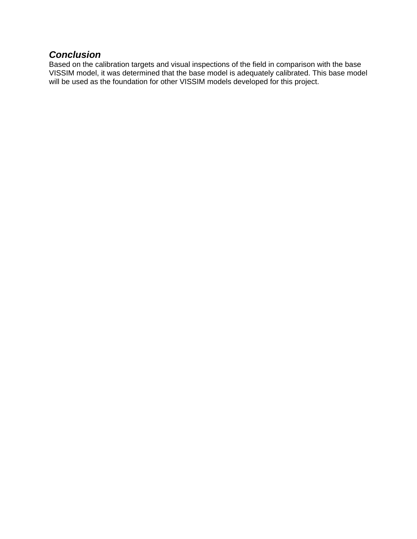#### *Conclusion*

Based on the calibration targets and visual inspections of the field in comparison with the base VISSIM model, it was determined that the base model is adequately calibrated. This base model will be used as the foundation for other VISSIM models developed for this project.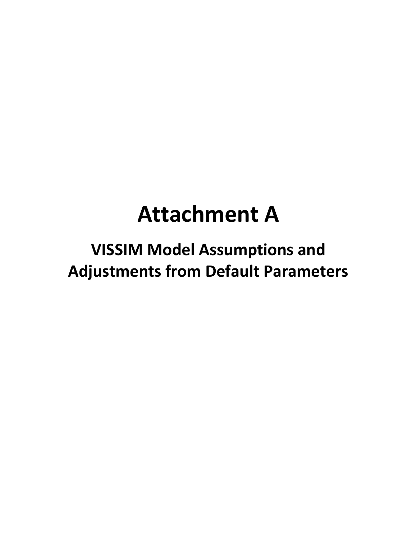# **Attachment A**

## **VISSIM Model Assumptions and Adjustments from Default Parameters**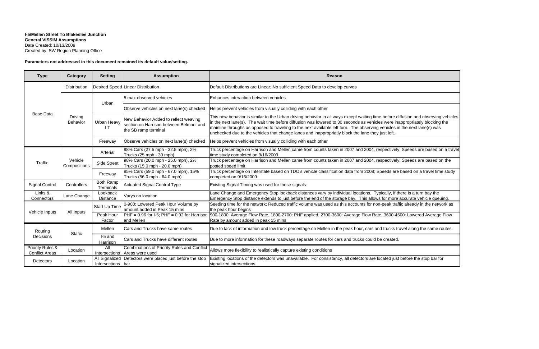#### **I-5/Mellen Street To Blakeslee Junction General VISSIM Assumptions** Date Created: 10/13/2009 Created by: SW Region Planning Office

#### **Parameters not addressed in this document remained its default value/setting.**

| <b>Type</b>                                          | Category                   | <b>Setting</b>                | <b>Assumption</b>                                                                                        | <b>Reason</b>                                                                                                                                                                                                                                                                                                                                                                                                                                                                                       |  |  |  |  |  |  |
|------------------------------------------------------|----------------------------|-------------------------------|----------------------------------------------------------------------------------------------------------|-----------------------------------------------------------------------------------------------------------------------------------------------------------------------------------------------------------------------------------------------------------------------------------------------------------------------------------------------------------------------------------------------------------------------------------------------------------------------------------------------------|--|--|--|--|--|--|
|                                                      | Distribution               |                               | Desired Speed Linear Distribution                                                                        | Default Distributions are Linear; No sufficient Speed Data to develop curves                                                                                                                                                                                                                                                                                                                                                                                                                        |  |  |  |  |  |  |
|                                                      |                            | Urban                         | 5 max observed vehicles                                                                                  | Enhances interaction between vehicles                                                                                                                                                                                                                                                                                                                                                                                                                                                               |  |  |  |  |  |  |
| <b>Base Data</b>                                     |                            |                               | Observe vehicles on next lane(s) checked                                                                 | Helps prevent vehicles from visually colliding with each other                                                                                                                                                                                                                                                                                                                                                                                                                                      |  |  |  |  |  |  |
|                                                      | <b>Driving</b><br>Behavior | Urban Heavy<br>LT.            | New Behavior Added to reflect weaving<br>section on Harrison between Belmont and<br>the SB ramp terminal | This new behavior is similar to the Urban driving behavior in all ways except waiting time before diffusion and observing vehicles<br>in the next lane(s). The wait time before diffusion was lowered to 30 seconds as vehicles were inappropriately blocking the<br>mainline throughs as opposed to traveling to the next available left turn. The observing vehicles in the next lane(s) was<br>unchecked due to the vehicles that change lanes and inappropriatly block the lane they just left. |  |  |  |  |  |  |
|                                                      |                            | Freeway                       | Observe vehicles on next lane(s) checked                                                                 | Helps prevent vehicles from visually colliding with each other                                                                                                                                                                                                                                                                                                                                                                                                                                      |  |  |  |  |  |  |
|                                                      |                            | Arterial                      | 98% Cars (27.5 mph - 32.5 mph), 2%<br>Trucks (25 mph - 30 mph)                                           | Truck percentage on Harrison and Mellen came from counts taken in 2007 and 2004, respectively; Speeds are based on a travel<br>time study completed on 9/16/2009                                                                                                                                                                                                                                                                                                                                    |  |  |  |  |  |  |
| Traffic                                              | Vehicle<br>Compositions    | <b>Side Street</b>            | 98% Cars (20.0 mph - 25.0 mph), 2%<br>Trucks (15.0 mph - 20.0 mph)                                       | Truck percentage on Harrison and Mellen came from counts taken in 2007 and 2004, respectively; Speeds are based on the<br>posted speed limit                                                                                                                                                                                                                                                                                                                                                        |  |  |  |  |  |  |
|                                                      |                            | Freeway                       | 85% Cars (59.0 mph - 67.0 mph), 15%<br>Trucks (56.0 mph - 64.0 mph)                                      | Truck percentage on Interstate based on TDO's vehicle classification data from 2008; Speeds are based on a travel time study<br>completed on 9/16/2009                                                                                                                                                                                                                                                                                                                                              |  |  |  |  |  |  |
| <b>Signal Control</b>                                | Controllers                | <b>Both Ramp</b><br>Terminals | <b>Actuated Signal Control Type</b>                                                                      | Existing Signal Timing was used for these signals                                                                                                                                                                                                                                                                                                                                                                                                                                                   |  |  |  |  |  |  |
| Links &<br>Connectors                                | Lane Change                | Lookback<br>Distance          | Varys on location                                                                                        | Lane Change and Emergency Stop lookback distances vary by individual locations. Typically, if there is a turn bay the<br>Emergency Stop distance extends to just before the end of the storage bay. This allows for more accurate vehicle queuing.                                                                                                                                                                                                                                                  |  |  |  |  |  |  |
| Vehicle Inputs                                       | All Inputs                 | Start Up Time                 | 0-900: Lowered Peak Hour Volume by<br>amount added in Peak 15 mins                                       | Seeding time for the network; Reduced traffic volume was used as this accounts for non-peak traffic already in the network as<br>the peak hour begins                                                                                                                                                                                                                                                                                                                                               |  |  |  |  |  |  |
|                                                      |                            | Peak Hour<br>Factor           | $ PHF = 0.96$ for I-5; PHF = 0.92 for Harrison<br>and Mellen                                             | 900-1800: Average Flow Rate, 1800-2700: PHF applied, 2700-3600: Average Flow Rate, 3600-4500: Lowered Average Flow<br>Rate by amount added in peak 15 mins                                                                                                                                                                                                                                                                                                                                          |  |  |  |  |  |  |
| Routing                                              |                            | Mellen                        | Cars and Trucks have same routes                                                                         | Due to lack of information and low truck percentage on Mellen in the peak hour, cars and trucks travel along the same routes.                                                                                                                                                                                                                                                                                                                                                                       |  |  |  |  |  |  |
| Decisions                                            | <b>Static</b>              | $1-5$ and<br>Harrison         | Cars and Trucks have different routes                                                                    | Due to more information for these roadways separate routes for cars and trucks could be created.                                                                                                                                                                                                                                                                                                                                                                                                    |  |  |  |  |  |  |
| <b>Priority Rules &amp;</b><br><b>Conflict Areas</b> | Location                   | All                           | <b>Combinations of Priority Rules and Conflict</b><br>Intersections Areas were used                      | Allows more flexibility to realistically capture existing conditions                                                                                                                                                                                                                                                                                                                                                                                                                                |  |  |  |  |  |  |
| Detectors                                            | Location                   | Intersections bar             | All Signalized Detectors were placed just before the stop                                                | Existing locations of the detectors was unavailable. For consistancy, all detectors are located just before the stop bar for<br>signalized intersections.                                                                                                                                                                                                                                                                                                                                           |  |  |  |  |  |  |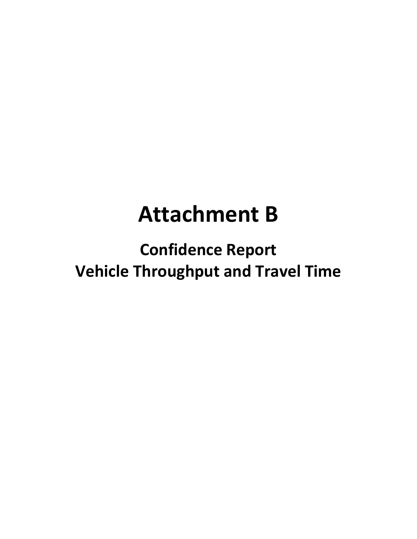## **Attachment B**

**Confidence Report Vehicle Throughput and Travel Time**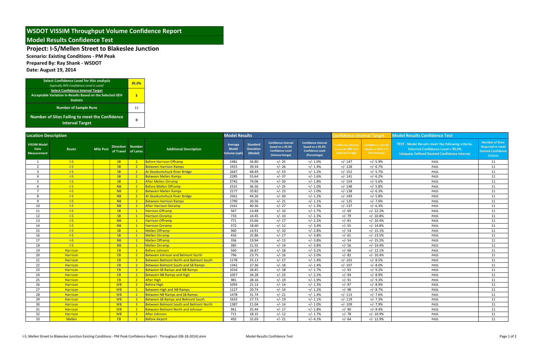**Scenario: Existing Conditions ‐ PM Peak**

**Prepared By: Ray Shank ‐ WSDOT**

**Date: August 19, 2014**

| <b>Select Confidence Level for this analysis</b><br>(typically 95% Confidence Level is used)                              | 95.0% |
|---------------------------------------------------------------------------------------------------------------------------|-------|
| <b>Select Confidence Interval Target</b><br>Acceptable Variation in Results Based on the Selected GEH<br><b>Statistic</b> | 3     |
| <b>Number of Sample Runs</b>                                                                                              | 11    |
| <b>Number of Sites Failing to meet the Confidence</b><br><b>Interval Target</b>                                           | Ω     |

| <b>Location Description</b>                       |                     |                  |                                               |                |                                                | <b>Model Results</b>                          |                                                |                                                                                             |                                                                                           | <b>Confidence Interval Target</b>                          |                                                                | <b>Model Results Confidence Test</b>                                                                                                          |                                                                                                  |
|---------------------------------------------------|---------------------|------------------|-----------------------------------------------|----------------|------------------------------------------------|-----------------------------------------------|------------------------------------------------|---------------------------------------------------------------------------------------------|-------------------------------------------------------------------------------------------|------------------------------------------------------------|----------------------------------------------------------------|-----------------------------------------------------------------------------------------------------------------------------------------------|--------------------------------------------------------------------------------------------------|
| <b>VISSIM Model</b><br>Data<br><b>Measurement</b> | Route               | <b>Mile Post</b> | <b>Direction Number</b><br>of Travel of Lanes |                | <b>Additional Description</b>                  | Average<br><b>Model</b><br><b>Volume</b> (vph | <b>Standard</b><br><b>Deviation</b><br>(Model) | <b>Confidence Interval</b><br>based on a 95.0%<br><b>Confidence Level</b><br>(Volume Range) | <b>Confidence Interval</b><br>based on a 95.0%<br><b>Confidence Level</b><br>(Percentage) | Confidence Interval<br>based on GEH of 3<br>(Volume Range) | <b>Confidence Interva</b><br>based on GEH of 3<br>(Percentage) | TEST - Model Results meet the following criteria.<br>Selected Confidence Level = 95.0%<br><b>Uniquely Defined Desired Confidence Interval</b> | <b>Number of Runs</b><br><b>Required to meet</b><br><b>Desired Confidence</b><br><b>Criteria</b> |
| -1                                                | $l-5$               |                  | SB                                            | 2 <sup>2</sup> | <b>Before Harrison Offramp</b>                 | 2481                                          | 36.80                                          | $+/- 25$                                                                                    | $+/- 1.0\%$                                                                               | $+/- 147$                                                  | $+/- 5.9%$                                                     | PASS                                                                                                                                          | 11                                                                                               |
| 2                                                 | $l-5$               |                  | SB                                            | $2^{\circ}$    | <b>Between Harrison Ramps</b>                  | 1915                                          | 39.34                                          | $+/- 26$                                                                                    | $+/- 1.4%$                                                                                | $+/- 128$                                                  | $+/- 6.7%$                                                     | PASS                                                                                                                                          | 11                                                                                               |
| $\overline{3}$                                    | $\left  -5 \right $ |                  | <b>SB</b>                                     | 2 <sup>2</sup> | At Skookumchuck River Bridge                   | 2647                                          | 48.49                                          | $+/- 33$                                                                                    | $+/- 1.2%$                                                                                | $+/- 152$                                                  | $+/- 5.7%$                                                     | PASS                                                                                                                                          | 11                                                                                               |
| $\mathbf 4$                                       | $\left  -5 \right $ |                  | SB                                            | 2 <sup>2</sup> | Between Mellen Ramps                           | 2285                                          | 55.64                                          | $+/- 37$                                                                                    | $+/- 1.6%$                                                                                | $+/- 141$                                                  | $+/- 6.2%$                                                     | PASS                                                                                                                                          | 11                                                                                               |
| -5                                                | $1-5$               |                  | <b>SB</b>                                     | $\sqrt{2}$     | <b>After Mellen Onramp</b>                     | 2742                                          | 74.06                                          | $+/- 50$                                                                                    | $+/- 1.8%$                                                                                | $+/- 154$                                                  | $+/- 5.6%$                                                     | PASS                                                                                                                                          | 11                                                                                               |
|                                                   | $1-5$               |                  | NB                                            | $\overline{2}$ | <b>Before Mellen Offramp</b>                   | 2531                                          | 36.56                                          | $+/- 25$                                                                                    | $+/- 1.0%$                                                                                | $+/- 148$                                                  | $+/- 5.8%$                                                     | PASS                                                                                                                                          | 11                                                                                               |
| $\overline{7}$                                    | $\left  -5 \right $ |                  | NB                                            | 2 <sup>2</sup> | <b>Between Mellen Ramps</b>                    | 2177                                          | 33.82                                          | $+/- 23$                                                                                    | $+/- 1.0%$                                                                                | $+/- 138$                                                  | $+/- 6.3%$                                                     | PASS                                                                                                                                          | 11                                                                                               |
| 8                                                 | $\left  -5 \right $ |                  | NB                                            | 2 <sup>2</sup> | At Skookumchuck River Bridge                   | 2561                                          | 44.26                                          | $+/- 30$                                                                                    | $+/- 1.2%$                                                                                | $+/- 149$                                                  | $+/- 5.8%$                                                     | PASS                                                                                                                                          | 11                                                                                               |
| $\mathbf{q}$                                      | $\left  -5 \right $ |                  | NB                                            | 2 <sup>2</sup> | <b>Between Harrison Ramps</b>                  | 1790                                          | 30.56                                          | $+/- 21$                                                                                    | $+/- 1.1%$                                                                                | $+/- 125$                                                  | $+/-7.0%$                                                      | PASS                                                                                                                                          | 11                                                                                               |
| 10                                                | $\left  -5 \right $ |                  | NB                                            | 2 <sup>2</sup> | <b>After Harrison Onramp</b>                   | 2161                                          | 40.36                                          | $+/- 27$                                                                                    | $+/- 1.3%$                                                                                | $+/- 137$                                                  | $+/- 6.3%$                                                     | PASS                                                                                                                                          | 11                                                                                               |
| 11                                                | $\left  -5 \right $ |                  | SB                                            | $\mathbf{1}$   | <b>Harrison Offramp</b>                        | 567                                           | 14.48                                          | $+/- 10$                                                                                    | $+/- 1.7%$                                                                                | $+/- 69$                                                   | $+/- 12.2%$                                                    | PASS                                                                                                                                          | 11                                                                                               |
| 12                                                | $\left  -5 \right $ |                  | SB                                            |                | <b>Harrison Onramp</b>                         | 733                                           | 14.45                                          | $+/- 10$                                                                                    | $+/- 1.3%$                                                                                | $+/- 79$                                                   | $+/- 10.8%$                                                    | PASS                                                                                                                                          | 11                                                                                               |
| 13                                                | $\left  -5 \right $ |                  | NB                                            | $\mathbf{1}$   | <b>Harrison Offramp</b>                        | 771                                           | 25.66                                          | $+/- 17$                                                                                    | $+/- 2.2%$                                                                                | $+/- 81$                                                   | $+/- 10.4%$                                                    | PASS                                                                                                                                          | 11                                                                                               |
| 14                                                | $\overline{1-5}$    |                  | NB                                            | $\overline{1}$ | <b>Harrison Onramp</b>                         | 372                                           | 18.60                                          | $+/- 12$                                                                                    | $+/- 3.4%$                                                                                | $+/- 55$                                                   | $+/- 14.8%$                                                    | PASS                                                                                                                                          | 11                                                                                               |
| 15                                                | $\left  -5 \right $ |                  | SB                                            | $\mathbf{1}$   | <b>Mellen Offramp</b>                          | 360                                           | 14.91                                          | $+/- 10$                                                                                    | $+/- 2.8%$                                                                                | $+/- 54$                                                   | $+/- 15.1%$                                                    | PASS                                                                                                                                          | 11                                                                                               |
| 16                                                | $1-5$               |                  | <b>SB</b>                                     | $\mathbf{1}$   | <b>Mellen Onramp</b>                           | 456                                           | 25.86                                          | $+/- 17$                                                                                    | $+/- 3.8%$                                                                                | $+/- 61$                                                   | $+/- 13.5%$                                                    | PASS                                                                                                                                          | 11                                                                                               |
| 17                                                | $\left  -5 \right $ |                  | NB                                            | $\mathbf{1}$   | <b>Mellen Offramp</b>                          | 356                                           | 19.94                                          | $+/- 13$                                                                                    | $+/- 3.8%$                                                                                | $+/- 54$                                                   | $+/- 15.2%$                                                    | PASS                                                                                                                                          | 11                                                                                               |
| 18                                                | $\left  -5 \right $ |                  | NB                                            | $\mathbf{1}$   | <b>Mellen Onramp</b>                           | 385                                           | 21.55                                          | $+/- 14$                                                                                    | $+/- 3.8%$                                                                                | $+/- 56$                                                   | $+/- 14.4%$                                                    | PASS                                                                                                                                          | 11                                                                                               |
| 19                                                | <b>Harrison</b>     |                  | EB                                            | $\overline{1}$ | <b>Before Johnson</b>                          | 560                                           | 26.87                                          | $+/- 18$                                                                                    | $+/- 3.2%$                                                                                | $+/- 68$                                                   | $+/- 12.1%$                                                    | PASS                                                                                                                                          | 11                                                                                               |
| 20                                                | <b>Harrison</b>     |                  | EB                                            | $\overline{2}$ | <b>Between Johnson and Belmont North</b>       | 796                                           | 23.75                                          | $+/- 16$                                                                                    | $+/- 2.0%$                                                                                | $+/- 82$                                                   | $+/- 10.4%$                                                    | PASS                                                                                                                                          | 11                                                                                               |
| 21                                                | Harrison            |                  | EB                                            | 2 <sup>2</sup> | <b>Between Belmont North and Belmont South</b> | 1178                                          | 25.13                                          | $+/- 17$                                                                                    | $+/- 1.4%$                                                                                | $+/- 101$                                                  | $+/- 8.5%$                                                     | PASS                                                                                                                                          | 11                                                                                               |
| 22                                                | <b>Harrison</b>     |                  | EB                                            | $2^{\circ}$    | <b>Between Belmont South and SB Ramps</b>      | 1342                                          | 27.36                                          | $+/- 18$                                                                                    | $+/- 1.4%$                                                                                | $+/- 107$                                                  | $+/- 8.0%$                                                     | PASS                                                                                                                                          | 11                                                                                               |
| 23                                                | <b>Harrison</b>     |                  | EB                                            | 2 <sup>2</sup> | <b>Between SB Ramps and NB Ramps</b>           | 1016                                          | 26.45                                          | $+/- 18$                                                                                    | $+/- 1.7%$                                                                                | $+/-93$                                                    | $+/-9.2%$                                                      | PASS                                                                                                                                          | 11                                                                                               |
| 24                                                | <b>Harrison</b>     |                  | EB                                            | $2^{\circ}$    | <b>Between NB Ramps and High</b>               | 1057                                          | 34.28                                          | $+/- 23$                                                                                    | $+/- 2.2%$                                                                                | $+/-94$                                                    | $+/- 8.9%$                                                     | PASS                                                                                                                                          | 11                                                                                               |
| 25                                                | <b>Harrison</b>     |                  | EB                                            | 2 <sup>2</sup> | <b>After High</b>                              | 981                                           | 28.16                                          | $+/- 19$                                                                                    | $+/- 1.9%$                                                                                | $+/-91$                                                    | $+/-9.3%$                                                      | PASS                                                                                                                                          | 11                                                                                               |
| 26                                                | <b>Harrison</b>     |                  | <b>WB</b>                                     | 2 <sup>2</sup> | <b>Before High</b>                             | 1093                                          | 21.13                                          | $+/- 14$                                                                                    | $+/- 1.3%$                                                                                | $+/- 97$                                                   | $+/- 8.9%$                                                     | PASS                                                                                                                                          | 11                                                                                               |
| 27                                                | Harrison            |                  | <b>WB</b>                                     | $\overline{2}$ | <b>Between High and NB Ramps</b>               | 1127                                          | 20.74                                          | $+/- 14$                                                                                    | $+/- 1.2%$                                                                                | $+/- 98$                                                   | $+/- 8.7%$                                                     | PASS                                                                                                                                          | 11                                                                                               |
| 28                                                | <b>Harrison</b>     |                  | <b>WB</b>                                     | 2 <sup>2</sup> | <b>Between NB Ramps and SB Ramps</b>           | 1478                                          | 31.74                                          | $+/- 21$                                                                                    | $+/- 1.4%$                                                                                | $+/- 113$                                                  | $+/- 7.6%$                                                     | PASS                                                                                                                                          | 11                                                                                               |
| 29                                                | <b>Harrison</b>     |                  | <b>WB</b>                                     | 3 <sup>2</sup> | <b>Between SB Ramps and Belmont South</b>      | 1633                                          | 27.73                                          | $+/- 19$                                                                                    | $+/- 1.1%$                                                                                | $+/- 119$                                                  | $+/-7.3%$                                                      | PASS                                                                                                                                          | 11                                                                                               |
| 30                                                | <b>Harrison</b>     |                  | <b>WB</b>                                     | 3 <sup>1</sup> | <b>Between Belmont South and Belmont North</b> | 1387                                          | 21.04                                          | $+/- 14$                                                                                    | $+/- 1.0%$                                                                                | $+/- 109$                                                  | $+/-7.9%$                                                      | PASS                                                                                                                                          | 11                                                                                               |
| 31                                                | Harrison            |                  | <b>WB</b>                                     | 2 <sup>2</sup> | <b>Between Belmont North and Johnson</b>       | 961                                           | 25.44                                          | $+/- 17$                                                                                    | $+/- 1.8%$                                                                                | $+/-90$                                                    | $+/-9.4%$                                                      | PASS                                                                                                                                          | 11                                                                                               |
| 32                                                | Harrison            |                  | <b>WB</b>                                     | $\mathbf{1}$   | After Johnson                                  | 711                                           | 18.15                                          | $+/- 12$                                                                                    | $+/- 1.7%$                                                                                | $+/- 78$                                                   | $+/- 10.9%$                                                    | PASS                                                                                                                                          | 11                                                                                               |
| 33                                                | <b>Mellen</b>       |                  | EB.                                           |                | <b>Before Airport</b>                          | 492                                           | 31.03                                          | $+/- 21$                                                                                    | $+/- 4.2%$                                                                                | $+/- 64$                                                   | $+/- 12.9%$                                                    | PASS                                                                                                                                          | 11                                                                                               |

#### **WSDOT VISSIM Throughput Volume Confidence Report**

#### **Model Results Confidence Test**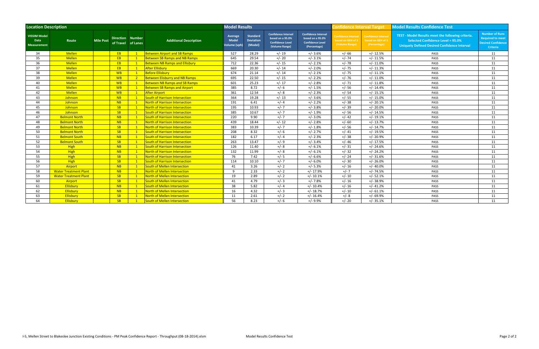| <b>Location Description</b>                              |                              |                  |                               |                |                                       | <b>Model Results</b>                    |                                         |                                                                                      |                                                                                           | <b>Confidence Interval Target</b>                                 |                                                                 | <b>Model Results Confidence Test</b>                                                                                                                 |                                                                                                  |  |
|----------------------------------------------------------|------------------------------|------------------|-------------------------------|----------------|---------------------------------------|-----------------------------------------|-----------------------------------------|--------------------------------------------------------------------------------------|-------------------------------------------------------------------------------------------|-------------------------------------------------------------------|-----------------------------------------------------------------|------------------------------------------------------------------------------------------------------------------------------------------------------|--------------------------------------------------------------------------------------------------|--|
| <b>VISSIM Model</b><br><b>Data</b><br><b>Measurement</b> | Route                        | <b>Mile Post</b> | Direction Number<br>of Travel | of Lanes       | <b>Additional Description</b>         | Average<br><b>Model</b><br>Volume (vph) | <b>Standard</b><br>Deviation<br>(Model) | Confidence Interval<br>based on a 95.0%<br><b>Confidence Level</b><br>(Volume Range) | <b>Confidence Interval</b><br>based on a 95.0%<br><b>Confidence Level</b><br>(Percentage) | <b>Confidence Interval</b><br>based on GEH of 3<br>(Volume Range) | <b>Confidence Interval</b><br>based on GEH of 3<br>(Percentage) | TEST - Model Results meet the following criteria.<br><b>Selected Confidence Level = 95.0%</b><br><b>Uniquely Defined Desired Confidence Interval</b> | <b>Number of Runs</b><br><b>Required to meet</b><br><b>Desired Confidence</b><br><b>Criteria</b> |  |
| 34                                                       | Mellen                       |                  | EB                            | $\mathbf{1}$   | <b>Between Airport and SB Ramps</b>   | 527                                     | 28.29                                   | $+/- 19$                                                                             | $+/- 3.6%$                                                                                | $+/- 66$                                                          | $+/- 12.5%$                                                     | PASS                                                                                                                                                 | 11                                                                                               |  |
| 35                                                       | <b>Mellen</b>                |                  | EB                            | $\mathbf{1}$   | <b>Between SB Ramps and NB Ramps</b>  | 645                                     | 29.54                                   | $+/- 20$                                                                             | $+/- 3.1%$                                                                                | $+/- 74$                                                          | $+/- 11.5%$                                                     | PASS                                                                                                                                                 | 11                                                                                               |  |
| 36                                                       | Mellen                       |                  | EB                            | $\mathbf{1}$   | <b>Between NB Ramps and Ellisbury</b> | 712                                     | 22.36                                   | $+/- 15$                                                                             | $+/- 2.1%$                                                                                | $+/- 78$                                                          | $+/- 11.0%$                                                     | PASS                                                                                                                                                 | 11                                                                                               |  |
| 37                                                       | Mellen                       |                  | EB                            | $\mathbf{1}$   | <b>After Ellisbury</b>                | 669                                     | 20.30                                   | $+/- 14$                                                                             | $+/- 2.0%$                                                                                | $+/- 75$                                                          | $+/- 11.3%$                                                     | PASS                                                                                                                                                 | 11                                                                                               |  |
| 38                                                       | Mellen                       |                  | <b>WB</b>                     | $\mathbf{1}$   | <b>Before Ellisbury</b>               | 674                                     | 21.14                                   | $+/- 14$                                                                             | $+/- 2.1%$                                                                                | $+/- 75$                                                          | $+/- 11.1%$                                                     | PASS                                                                                                                                                 | 11                                                                                               |  |
| 39                                                       | Mellen                       |                  | <b>WB</b>                     | $\sqrt{2}$     | <b>Between Elisburry and NB Ramps</b> | 695                                     | 22.50                                   | $+/- 15$                                                                             | $+/- 2.2%$                                                                                | $+/- 76$                                                          | $+/- 11.0%$                                                     | PASS                                                                                                                                                 | 11                                                                                               |  |
| 40                                                       | Mellen                       |                  | <b>WB</b>                     | $\mathbf{1}$   | <b>Between NB Ramps and SB Ramps</b>  | 601                                     | 25.23                                   | $+/- 17$                                                                             | $+/- 2.8%$                                                                                | $+/- 71$                                                          | $+/- 11.8%$                                                     | PASS                                                                                                                                                 | 11                                                                                               |  |
| 41                                                       | Mellen                       |                  | <b>WB</b>                     | $\mathbf{1}$   | <b>Between SB Ramps and Airport</b>   | 385                                     | 8.72                                    | $+/- 6$                                                                              | $+/- 1.5%$                                                                                | $+/- 56$                                                          | $+/- 14.4%$                                                     | PASS                                                                                                                                                 | 11                                                                                               |  |
| 42                                                       | Mellen                       |                  | <b>WB</b>                     | $\mathbf{1}$   | <b>After Airport</b>                  | 361                                     | 12.54                                   | $+/- 8$                                                                              | $+/- 2.3%$                                                                                | $+/- 54$                                                          | $+/- 15.1%$                                                     | PASS                                                                                                                                                 | 11                                                                                               |  |
| 43                                                       | Johnson                      |                  | NB                            | $\mathbf{1}$   | South of Harrison Intersection        | 364                                     | 19.28                                   | $+/- 13$                                                                             | $+/- 3.6%$                                                                                | $+/- 55$                                                          | $+/- 15.0%$                                                     | PASS                                                                                                                                                 | 11                                                                                               |  |
| 44                                                       | Johnson                      |                  | NB                            | $\mathbf{1}$   | North of Harrison Intersection        | 191                                     | 6.41                                    | $+/- 4$                                                                              | $+/- 2.2%$                                                                                | $+/- 38$                                                          | $+/- 20.1%$                                                     | PASS                                                                                                                                                 | 11                                                                                               |  |
| 45                                                       | Johnson                      |                  | SB                            | $\mathbf{1}$   | North of Harrison Intersection        | 195                                     | 10.93                                   | $+/- 7$                                                                              | $+/- 3.8%$                                                                                | $+/- 39$                                                          | $+/- 20.0%$                                                     | PASS                                                                                                                                                 | 11                                                                                               |  |
| 46                                                       | Johnson                      |                  | SB                            | $\mathbf{1}$   | South of Harrison Intersection        | 385                                     | 10.67                                   | $+/- 7$                                                                              | $+/- 1.9%$                                                                                | $+/- 56$                                                          | $+/- 14.5%$                                                     | PASS                                                                                                                                                 | 11                                                                                               |  |
| 47                                                       | <b>Belmont North</b>         |                  | NB                            | $\mathbf{1}$   | South of Harrison Intersection        | 220                                     | 9.90                                    | $+/- 7$                                                                              | $+/- 3.0%$                                                                                | $+/- 42$                                                          | $+/- 19.1%$                                                     | PASS                                                                                                                                                 | 11                                                                                               |  |
| 48                                                       | <b>Belmont North</b>         |                  | NB                            | $\mathbf{1}$   | North of Harrison Intersection        | 439                                     | 18.44                                   | $+/- 12$                                                                             | $+/- 2.8%$                                                                                | $+/- 60$                                                          | $+/- 13.7%$                                                     | PASS                                                                                                                                                 | 11                                                                                               |  |
| 49                                                       | <b>Belmont North</b>         |                  | SB                            | $\mathbf{1}$   | North of Harrison Intersection        | 383                                     | 10.39                                   | $+/- 7$                                                                              | $+/- 1.8%$                                                                                | $+/- 56$                                                          | $+/- 14.7%$                                                     | PASS                                                                                                                                                 | 11                                                                                               |  |
| 50                                                       | <b>Belmont North</b>         |                  | SB                            | $\mathbf{1}$   | South of Harrison Intersection        | 208                                     | 8.32                                    | $+/- 6$                                                                              | $+/- 2.7%$                                                                                | $+/- 41$                                                          | $+/- 19.5%$                                                     | PASS                                                                                                                                                 | 11                                                                                               |  |
| 51                                                       | <b>Belmont South</b>         |                  | NB                            | $\mathbf{1}$   | South of Harrison Intersection        | 182                                     | 6.17                                    | $+/- 4$                                                                              | $+/- 2.3%$                                                                                | $+/- 38$                                                          | $+/- 20.9%$                                                     | PASS                                                                                                                                                 | 11                                                                                               |  |
| 52                                                       | <b>Belmont South</b>         |                  | SB                            | $\overline{1}$ | <b>South of Harrison Intersection</b> | 263                                     | 13.47                                   | $+/-9$                                                                               | $+/- 3.4%$                                                                                | $+/- 46$                                                          | $+/- 17.5%$                                                     | PASS                                                                                                                                                 | 11                                                                                               |  |
| 53                                                       | <b>High</b>                  |                  | NB                            | $\overline{1}$ | South of Harrison Intersection        | 126                                     | 11.40                                   | $+/- 8$                                                                              | $+/- 6.1%$                                                                                | $+/- 31$                                                          | $+/- 24.6%$                                                     | PASS                                                                                                                                                 | 11                                                                                               |  |
| 54                                                       | <b>High</b>                  |                  | <b>NB</b>                     | $\overline{1}$ | <b>North of Harrison Intersection</b> | 132                                     | 11.99                                   | $+/- 8$                                                                              | $+/- 6.1%$                                                                                | $+/- 32$                                                          | $+/- 24.2%$                                                     | PASS                                                                                                                                                 | 11                                                                                               |  |
| 55                                                       | <b>High</b>                  |                  | SB                            | $\overline{1}$ | <b>North of Harrison Intersection</b> | 76                                      | 7.42                                    | $+/- 5$                                                                              | $+/- 6.6%$                                                                                | $+/- 24$                                                          | $+/- 31.6%$                                                     | PASS                                                                                                                                                 | 11                                                                                               |  |
| 56                                                       | <b>High</b>                  |                  | SB                            | $\overline{1}$ | <b>South of Harrison Intersection</b> | 114                                     | 10.10                                   | $+/- 7$                                                                              | $+/- 6.0%$                                                                                | $+/- 30$                                                          | $+/- 26.0%$                                                     | PASS                                                                                                                                                 | 11                                                                                               |  |
| 57                                                       | Airport                      |                  | NB                            | $\sqrt{1}$     | South of Mellen Intersection          | 41                                      | 3.26                                    | $+/- 2$                                                                              | $+/- 5.3%$                                                                                | $+/- 16$                                                          | $+/- 40.0%$                                                     | PASS                                                                                                                                                 | 11                                                                                               |  |
| 58                                                       | <b>Water Treatment Plant</b> |                  | NB                            | $\sqrt{1}$     | North of Mellen Intersection          | 9                                       | 2.33                                    | $+/- 2$                                                                              | $+/- 17.9%$                                                                               | $+/- 7$                                                           | $+/- 74.5%$                                                     | PASS                                                                                                                                                 | 11                                                                                               |  |
| 59                                                       | <b>Water Treatment Plant</b> |                  | SB                            | $\mathbf{1}$   | North of Mellen Intersection          | 19                                      | 2.89                                    | $+/- 2$                                                                              | $+/- 10.1%$                                                                               | $+/- 10$                                                          | $+/- 52.1%$                                                     | PASS                                                                                                                                                 | 11                                                                                               |  |
| 60                                                       | Airport                      |                  | SB                            | $\mathbf{1}$   | <b>South of Mellen Intersection</b>   | 41                                      | 4.79                                    | $+/- 3$                                                                              | $+/- 7.8%$                                                                                | $+/- 16$                                                          | $+/- 38.9%$                                                     | PASS                                                                                                                                                 | 11                                                                                               |  |
| 61                                                       | Ellisbury                    |                  | NB                            | $\mathbf{1}$   | <b>South of Mellen Intersection</b>   | 38                                      | 5.82                                    | $+/- 4$                                                                              | $+/- 10.4%$                                                                               | $+/- 16$                                                          | $+/- 41.2%$                                                     | PASS                                                                                                                                                 | 11                                                                                               |  |
| 62                                                       | Ellisbury                    |                  | NB                            | $\mathbf{1}$   | North of Mellen Intersection          | 16                                      | 4.32                                    | $+/- 3$                                                                              | $+/- 18.7%$                                                                               | $+/- 10$                                                          | $+/- 61.1%$                                                     | PASS                                                                                                                                                 | 11                                                                                               |  |
| 63                                                       | Ellisbury                    |                  | SB                            | $\mathbf{1}$   | North of Mellen Intersection          | 11                                      | 2.61                                    | $+/- 2$                                                                              | $+/- 16.4%$                                                                               | $+/- 8$                                                           | $+/- 69.9%$                                                     | PASS                                                                                                                                                 | 11                                                                                               |  |
| 64                                                       | Ellisbury                    |                  | SB                            |                | <b>South of Mellen Intersection</b>   | 56                                      | 8.23                                    | $+/- 6$                                                                              | $+/-9.9%$                                                                                 | $+/- 20$                                                          | $+/- 35.1%$                                                     | PASS                                                                                                                                                 | 11                                                                                               |  |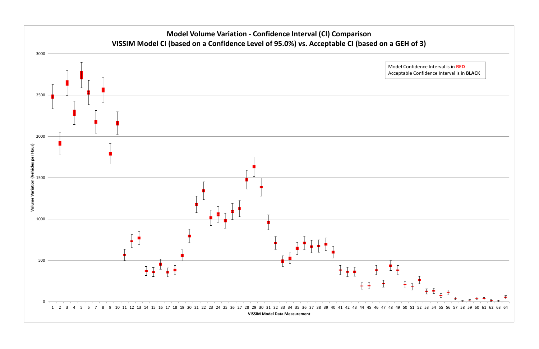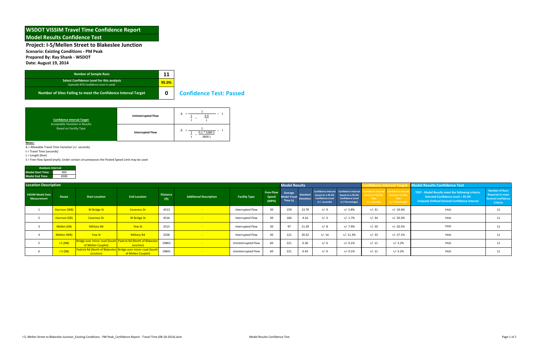**Scenario: Existing Conditions ‐ PM Peak**

**Prepared By: Ray Shank ‐ WSDOT**

**Date: August 19, 2014**

#### **Confidence Test: Passed**

**Notes:**

Δ = Allowable Travel Time Variation (+/‐ seconds)

t <sup>=</sup> Travel Time (seconds)

L <sup>=</sup> Length (feet)

S <sup>=</sup> Free Flow Speed (mph); Under certain circumstances the Posted Speed Limit may be used

| <b>Number of Sample Runs</b>                                                          | 11    |                |
|---------------------------------------------------------------------------------------|-------|----------------|
| Select Confidence Level for this analysis<br>(typically 95% Confidence Level is used) | 95.0% |                |
| Number of Sites Failing to meet the Confidence Interval Target                        | O     | <b>Confide</b> |

| <b>Analysis Interval</b> |      |  |  |  |  |  |  |  |  |
|--------------------------|------|--|--|--|--|--|--|--|--|
| <b>Model Start Time</b>  | 900  |  |  |  |  |  |  |  |  |
| <b>Model End Time</b>    | 4500 |  |  |  |  |  |  |  |  |

| <b>Confidence Interval Target</b>                                | <b>Uninterrupted Flow</b> | ▵<br><u>4.4</u>              |
|------------------------------------------------------------------|---------------------------|------------------------------|
| Acceptable Variation in Results<br><b>Based on Facility Type</b> | <b>Interrupted Flow</b>   | Δ<br>$0.1 * 5280 S$<br>3600L |

| <b>Location Description</b>             |               |                                                                           |                                                                             |                                      |                               |                         |                             | <b>Model Results</b> |                                         |                                                                         |                                                                                                           |                       |                                                                                                         | Confidence Interval Target Model Results Confidence Test                                                                               |                                                                                           |  |
|-----------------------------------------|---------------|---------------------------------------------------------------------------|-----------------------------------------------------------------------------|--------------------------------------|-------------------------------|-------------------------|-----------------------------|----------------------|-----------------------------------------|-------------------------------------------------------------------------|-----------------------------------------------------------------------------------------------------------|-----------------------|---------------------------------------------------------------------------------------------------------|----------------------------------------------------------------------------------------------------------------------------------------|-------------------------------------------------------------------------------------------|--|
| <b>VISSIM Model Data</b><br>Measurement | Route         | <b>Start Location</b>                                                     | <b>End Location</b>                                                         | <b>Distance</b><br>(f <sup>t</sup> ) | <b>Additional Description</b> | <b>Facility Type</b>    | Free-Flow<br>Speed<br>(MPH) |                      | <b>Model Travel</b><br><b>Deviation</b> | Standard based on a 95.0%<br><b>Confidence Level</b><br>$(+/-$ seconds) | Confidence Interval Confidence Interval<br>based on a 95.0%<br><b>Confidence Level</b><br>(+/-Percentage) | Type<br>(+/- seconds) | fidence Interval Confidence Interval<br>sed on Facility based on Facility<br>Type<br>$(+/-$ Percentage) | TEST - Model Results meet the following criteria.<br>Selected Confidence Level = 95.0%<br>Uniquely Defined Desired Confidence Interval | Number of Runs<br><b>Required to meet</b><br><b>Desired Confidence</b><br><b>Criteria</b> |  |
|                                         | Harrison (WB) | <b>W</b> Bridge St                                                        | <b>Caveness Dr</b>                                                          | 4313                                 | <b>College</b>                | Interrupted Flow        | 30 <sup>°</sup>             | 159                  | 13.79                                   | $+/-9$                                                                  | $+/- 5.8%$                                                                                                | $+/- 31$              | +/- 19.4%                                                                                               | PASS                                                                                                                                   | 11                                                                                        |  |
|                                         | Harrison (EB) | <b>Caveness Dr</b>                                                        | <b>W</b> Bridge St                                                          | 4316                                 |                               | <b>Interrupted Flow</b> | 30                          | 166                  | 4.16                                    | $+/-3$                                                                  | $+/- 1.7%$                                                                                                | $+/- 34$              | $+/- 20.3%$                                                                                             | PASS                                                                                                                                   | 11                                                                                        |  |
|                                         | Mellen (EB)   | <b>Military Rd</b>                                                        | Yew St                                                                      | 2515                                 |                               | Interrupted Flow        | 30 <sup>°</sup>             | 97                   | 11.39                                   | $+/- 8$                                                                 | +/- 7.9%                                                                                                  | $+/- 20$              | +/- 20.5%                                                                                               | PASS                                                                                                                                   | 11                                                                                        |  |
|                                         | Mellen (WB)   | Yew St                                                                    | <b>Military Rd</b>                                                          | 2506                                 |                               | Interrupted Flow        | 30                          | 121                  | 20.32                                   | $+/- 14$                                                                | $+/- 11.3%$                                                                                               | $+/- 33$              | $+/- 27.1%$                                                                                             | PASS                                                                                                                                   | 11                                                                                        |  |
|                                         | $I-5(NB)$     | of Mellen Couplet)                                                        | Bridge over minor road (South   Padrick Rd (North of Blakeslee<br>Junction) | 19865                                |                               | Unintterrupted Flow     | 60                          | 221                  | 0.30                                    | $+/- 0$                                                                 | $+/- 0.1%$                                                                                                | $+/- 11$              | $+/- 5.2%$                                                                                              | PASS                                                                                                                                   | 11                                                                                        |  |
|                                         | $I-S(SB)$     | Padrick Rd (North of Blakeslee Bridge over minor road (South<br>Junction) | of Mellen Couplet)                                                          | 19841                                |                               | Unintterrupted Flow     | 60                          | 221                  | 0.43                                    | $+/- 0$                                                                 | $+/- 0.1%$                                                                                                | $+/- 11$              | $+/- 5.2%$                                                                                              | PASS                                                                                                                                   | 11                                                                                        |  |

#### **WSDOT VISSIM Travel Time Confidence Report Model Results Confidence Test**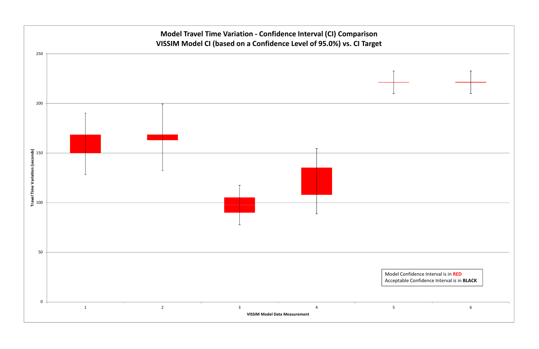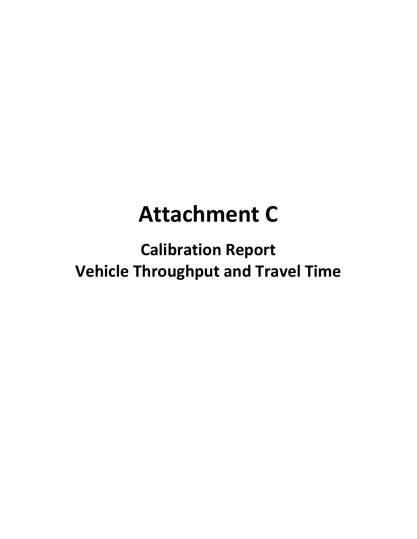# **Attachment C**

**Calibration Report Vehicle Throughput and Travel Time**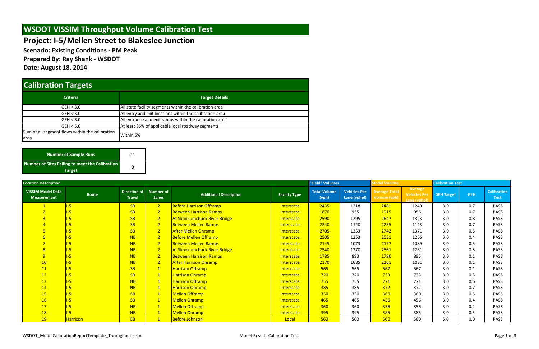**Scenario: Existing Conditions ‐ PM Peak**

**Prepared By: Ray Shank ‐ WSDOT**

**Date: August 18, 2014**

| <b>Location Description</b>                    |                 |                               |                           |                                |                      | "Field" Volumes              |                                     | Model Volume                         |                                         | <b>Calibration Test</b> |            |                                   |  |
|------------------------------------------------|-----------------|-------------------------------|---------------------------|--------------------------------|----------------------|------------------------------|-------------------------------------|--------------------------------------|-----------------------------------------|-------------------------|------------|-----------------------------------|--|
| <b>VISSIM Model Data</b><br><b>Measurement</b> | Route           | Direction of<br><b>Travel</b> | <b>Number of</b><br>Lanes | <b>Additional Description</b>  | <b>Facility Type</b> | <b>Total Volume</b><br>(vph) | <b>Vehicles Per</b><br>Lane (vphpl) | <b>Average Total</b><br>Volume (vph) | Average<br>Vehicles Per<br>Lane (vphpl) | <b>GEH Target</b>       | <b>GEH</b> | <b>Calibration</b><br><b>Test</b> |  |
|                                                |                 | SB                            | $\sqrt{2}$                | <b>Before Harrison Offramp</b> | Interstate           | 2435                         | 1218                                | 2481                                 | 1240                                    | 3.0                     | 0.7        | PASS                              |  |
|                                                |                 | SB                            | $\sqrt{2}$                | <b>Between Harrison Ramps</b>  | <b>Interstate</b>    | 1870                         | 935                                 | 1915                                 | 958                                     | 3.0                     | 0.7        | PASS                              |  |
|                                                |                 | SB                            | 2 <sup>2</sup>            | At Skookumchuck River Bridge   | Interstate           | 2590                         | 1295                                | 2647                                 | 1323                                    | 3.0                     | 0.8        | <b>PASS</b>                       |  |
|                                                |                 | SB                            | 2 <sup>2</sup>            | <b>Between Mellen Ramps</b>    | <b>Interstate</b>    | 2240                         | 1120                                | 2285                                 | 1143                                    | 3.0                     | 0.7        | PASS                              |  |
|                                                |                 | SB                            | 2 <sup>2</sup>            | <b>After Mellen Onramp</b>     | Interstate           | 2705                         | 1353                                | 2742                                 | 1371                                    | 3.0                     | 0.5        | <b>PASS</b>                       |  |
|                                                |                 | NB                            | 2 <sup>7</sup>            | <b>Before Mellen Offramp</b>   | <b>Interstate</b>    | 2505                         | 1253                                | 2531                                 | 1266                                    | 3.0                     | 0.4        | PASS                              |  |
|                                                |                 | NB                            | 2 <sup>7</sup>            | <b>Between Mellen Ramps</b>    | Interstate           | 2145                         | 1073                                | 2177                                 | 1089                                    | 3.0                     | 0.5        | <b>PASS</b>                       |  |
| 8 <sup>2</sup>                                 |                 | NB                            | 2 <sup>7</sup>            | At Skookumchuck River Bridge   | Interstate           | 2540                         | 1270                                | 2561                                 | 1281                                    | 3.0                     | 0.3        | PASS                              |  |
| 9 <sup>°</sup>                                 |                 | NB                            | 2 <sup>1</sup>            | <b>Between Harrison Ramps</b>  | Interstate           | 1785                         | 893                                 | 1790                                 | 895                                     | 3.0                     | 0.1        | <b>PASS</b>                       |  |
| 10                                             |                 | NB                            | 2 <sup>1</sup>            | <b>After Harrison Onramp</b>   | <b>Interstate</b>    | 2170                         | 1085                                | 2161                                 | 1081                                    | 3.0                     | 0.1        | PASS                              |  |
| 11                                             |                 | <b>SB</b>                     | 1                         | <b>Harrison Offramp</b>        | Interstate           | 565                          | 565                                 | 567                                  | 567                                     | 3.0                     | 0.1        | <b>PASS</b>                       |  |
| 12                                             |                 | SB                            | $\mathbf{1}$              | <b>Harrison Onramp</b>         | <b>Interstate</b>    | 720                          | 720                                 | 733                                  | 733                                     | 3.0                     | 0.5        | PASS                              |  |
| 13                                             |                 | NB                            | 1                         | <b>Harrison Offramp</b>        | Interstate           | 755                          | 755                                 | 771                                  | 771                                     | 3.0                     | 0.6        | PASS                              |  |
| 14                                             |                 | NB                            | 1                         | <b>Harrison Onramp</b>         | <b>Interstate</b>    | 385                          | 385                                 | 372                                  | 372                                     | 3.0                     | 0.7        | PASS                              |  |
| <b>15</b>                                      |                 | <b>SB</b>                     | $\mathbf{1}$              | <b>Mellen Offramp</b>          | Interstate           | 350                          | 350                                 | 360                                  | 360                                     | 3.0                     | 0.5        | PASS                              |  |
| 16                                             |                 | <b>SB</b>                     | $\mathbf{1}$              | <b>Mellen Onramp</b>           | Interstate           | 465                          | 465                                 | 456                                  | 456                                     | 3.0                     | 0.4        | PASS                              |  |
| 17                                             |                 | NB                            | 1                         | <b>Mellen Offramp</b>          | Interstate           | 360                          | 360                                 | 356                                  | 356                                     | 3.0                     | 0.2        | <b>PASS</b>                       |  |
| <b>18</b>                                      | $-5$            | NB                            | $\mathbf{1}$              | <b>Mellen Onramp</b>           | Interstate           | 395                          | 395                                 | 385                                  | 385                                     | 3.0                     | 0.5        | PASS                              |  |
| <b>19</b>                                      | <b>Harrison</b> | EB.                           |                           | <b>Before Johnson</b>          | Local                | 560                          | 560                                 | 560                                  | 560                                     | 5.0                     | 0.0        | PASS                              |  |

| Number of Sample Runs                                  | 11 |  |
|--------------------------------------------------------|----|--|
| <b>Number of Sites Failing to meet the Calibration</b> |    |  |
| <b>Target</b>                                          |    |  |

## **WSDOT VISSIM Throughput Volume Calibration Test**

## **Calibration Targets**

| <b>Criteria</b>                                 | <b>Target Details</b>                                    |  |  |  |  |  |  |  |  |
|-------------------------------------------------|----------------------------------------------------------|--|--|--|--|--|--|--|--|
| GEH < 3.0                                       | All state facility segments within the calibration area  |  |  |  |  |  |  |  |  |
| GEH < 3.0                                       | All entry and exit locations within the calibration area |  |  |  |  |  |  |  |  |
| GEH < 3.0                                       | All entrance and exit ramps within the calibration area  |  |  |  |  |  |  |  |  |
| GEH < 5.0                                       | At least 85% of applicable local roadway segments        |  |  |  |  |  |  |  |  |
| Sum of all segment flows within the calibration | Within 5%                                                |  |  |  |  |  |  |  |  |
| larea                                           |                                                          |  |  |  |  |  |  |  |  |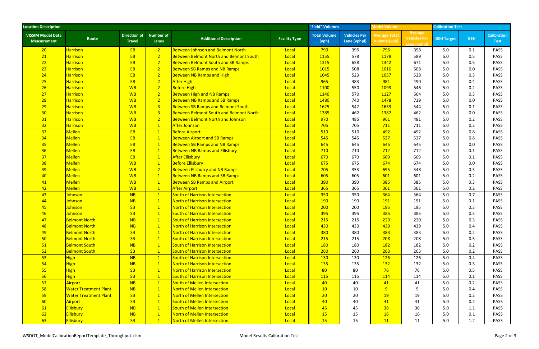| <b>Location Description</b>                    |                              |                                      |                           |                                                |                      | "Field" Volumes              |                                     | <b>Model Volume</b>                  |                                                | <b>Calibration Test</b> |            |                                   |
|------------------------------------------------|------------------------------|--------------------------------------|---------------------------|------------------------------------------------|----------------------|------------------------------|-------------------------------------|--------------------------------------|------------------------------------------------|-------------------------|------------|-----------------------------------|
| <b>VISSIM Model Data</b><br><b>Measurement</b> | Route                        | <b>Direction of</b><br><b>Travel</b> | <b>Number of</b><br>Lanes | <b>Additional Description</b>                  | <b>Facility Type</b> | <b>Total Volume</b><br>(vph) | <b>Vehicles Per</b><br>Lane (vphpl) | <b>Average Total</b><br>Volume (vph) | Average<br><b>Vehicles Per</b><br>Lane (vphpl) | <b>GEH Target</b>       | <b>GEH</b> | <b>Calibration</b><br><b>Test</b> |
| 20 <sub>2</sub>                                | <b>Harrison</b>              | EB <sup>1</sup>                      | 2 <sup>1</sup>            | <b>Between Johnson and Belmont North</b>       | Local                | 790                          | 395                                 | 796                                  | 398                                            | 5.0                     | 0.1        | <b>PASS</b>                       |
| 21                                             | <b>Harrison</b>              | <b>EB</b>                            | 2 <sup>2</sup>            | <b>Between Belmont North and Belmont South</b> | Local                | 1155                         | 578                                 | 1178                                 | 589                                            | 5.0                     | 0.5        | <b>PASS</b>                       |
| 22                                             | <b>Harrison</b>              | <b>EB</b>                            | 2 <sup>1</sup>            | <b>Between Belmont South and SB Ramps</b>      | Local                | 1315                         | 658                                 | 1342                                 | 671                                            | 5.0                     | 0.5        | <b>PASS</b>                       |
| 23                                             | <b>Harrison</b>              | <b>EB</b>                            | 2 <sup>1</sup>            | <b>Between SB Ramps and NB Ramps</b>           | Local                | 1015                         | 508                                 | 1016                                 | 508                                            | 5.0                     | 0.0        | PASS                              |
| 24                                             | Harrison                     | EB                                   | 2 <sup>1</sup>            | <b>Between NB Ramps and High</b>               | Local                | 1045                         | 523                                 | 1057                                 | 528                                            | 5.0                     | 0.3        | PASS                              |
| 25                                             | <b>Harrison</b>              | <b>EB</b>                            | 2 <sup>1</sup>            | <b>After High</b>                              | Local                | 965                          | 483                                 | 981                                  | 490                                            | 5.0                     | 0.4        | PASS                              |
| 26                                             | <b>Harrison</b>              | <b>WB</b>                            | 2 <sup>1</sup>            | <b>Before High</b>                             | Local                | 1100                         | 550                                 | 1093                                 | 546                                            | 5.0                     | 0.2        | <b>PASS</b>                       |
| 27                                             | Harrison                     | <b>WB</b>                            | 2 <sup>1</sup>            | <b>Between High and NB Ramps</b>               | Local                | 1140                         | 570                                 | 1127                                 | 564                                            | 5.0                     | 0.3        | PASS                              |
| 28                                             | <b>Harrison</b>              | <b>WB</b>                            | 2 <sup>1</sup>            | <b>Between NB Ramps and SB Ramps</b>           | Local                | 1480                         | 740                                 | 1478                                 | 739                                            | 5.0                     | 0.0        | PASS                              |
| 29                                             | <b>Harrison</b>              | <b>WB</b>                            | 3 <sup>1</sup>            | <b>Between SB Ramps and Belmont South</b>      | Local                | 1625                         | 542                                 | 1633                                 | 544                                            | 5.0                     | 0.1        | PASS                              |
| 30                                             | Harrison                     | <b>WB</b>                            | 3 <sup>1</sup>            | <b>Between Belmont South and Belmont North</b> | Local                | 1385                         | 462                                 | 1387                                 | 462                                            | 5.0                     | 0.0        | <b>PASS</b>                       |
| 31                                             | Harrison                     | <b>WB</b>                            | 2 <sup>1</sup>            | <b>Between Belmont North and Johnson</b>       | Local                | 970                          | 485                                 | 961                                  | 481                                            | 5.0                     | 0.2        | PASS                              |
| 32                                             | <b>Harrison</b>              | <b>WB</b>                            | $\boxed{1}$               | After Johnson                                  | Local                | 705                          | 705                                 | 711                                  | 711                                            | 5.0                     | 0.2        | PASS                              |
| 33                                             | <b>Mellen</b>                | EB <sup>1</sup>                      | 1                         | <b>Before Airport</b>                          | Local                | 510                          | 510                                 | 492                                  | 492                                            | 5.0                     | 0.8        | PASS                              |
| 34                                             | Mellen                       | <b>EB</b>                            | 1                         | <b>Between Airport and SB Ramps</b>            | Local                | 545                          | 545                                 | 527                                  | 527                                            | 5.0                     | 0.8        | <b>PASS</b>                       |
| 35                                             | Mellen                       | <b>EB</b>                            | 1                         | <b>Between SB Ramps and NB Ramps</b>           | Local                | 645                          | 645                                 | 645                                  | 645                                            | 5.0                     | 0.0        | PASS                              |
| 36                                             | Mellen                       | <b>EB</b>                            | 1                         | <b>Between NB Ramps and Ellisbury</b>          | Local                | 710                          | 710                                 | 712                                  | 712                                            | 5.0                     | 0.1        | PASS                              |
| 37                                             | Mellen                       | <b>EB</b>                            | $\mathbf{1}$              | <b>After Ellisbury</b>                         | Local                | 670                          | 670                                 | 669                                  | 669                                            | 5.0                     | 0.1        | PASS                              |
| 38                                             | Mellen                       | <b>WB</b>                            | 1                         | <b>Before Ellisbury</b>                        | Local                | 675                          | 675                                 | 674                                  | 674                                            | 5.0                     | 0.0        | <b>PASS</b>                       |
| 39                                             | Mellen                       | <b>WB</b>                            | 2 <sup>1</sup>            | <b>Between Elisburry and NB Ramps</b>          | Local                | 705                          | 353                                 | 695                                  | 348                                            | 5.0                     | 0.3        | PASS                              |
| 40                                             | Mellen                       | <b>WB</b>                            | $\mathbf{1}$              | <b>Between NB Ramps and SB Ramps</b>           | Local                | 605                          | 605                                 | 601                                  | 601                                            | 5.0                     | 0.2        | PASS                              |
| 41                                             | Mellen                       | <b>WB</b>                            | $\mathbf{1}$              | <b>Between SB Ramps and Airport</b>            | Local                | 390                          | 390                                 | 385                                  | 385                                            | 5.0                     | 0.3        | PASS                              |
| 42                                             | Mellen                       | <b>WB</b>                            | $\mathbf{1}$              | <b>After Airport</b>                           | Local                | 365                          | 365                                 | 361                                  | 361                                            | 5.0                     | 0.2        | <b>PASS</b>                       |
| 43                                             | Johnson                      | NB                                   | $\mathbf{1}$              | South of Harrison Intersection                 | Local                | 350                          | 350                                 | 364                                  | 364                                            | 5.0                     | 0.7        | PASS                              |
| 44                                             | Johnson                      | NB                                   | 1                         | North of Harrison Intersection                 | Local                | <b>190</b>                   | 190                                 | 191                                  | 191                                            | 5.0                     | 0.1        | PASS                              |
| 45                                             | <b>Johnson</b>               | <b>SB</b>                            | $\mathbf{1}$              | North of Harrison Intersection                 | Local                | 200                          | 200                                 | 195                                  | 195                                            | 5.0                     | 0.3        | PASS                              |
| 46                                             | Johnson                      | SB                                   | $\mathbf{1}$              | South of Harrison Intersection                 | Local                | 395                          | 395                                 | 385                                  | 385                                            | 5.0                     | 0.5        | <b>PASS</b>                       |
| 47                                             | <b>Belmont North</b>         | NB                                   | 1                         | South of Harrison Intersection                 | Local                | 215                          | 215                                 | 220                                  | 220                                            | 5.0                     | 0.3        | PASS                              |
| 48                                             | <b>Belmont North</b>         | NB                                   | $\mathbf{1}$              | North of Harrison Intersection                 | Local                | 430                          | 430                                 | 439                                  | 439                                            | 5.0                     | 0.4        | PASS                              |
| 49                                             | <b>Belmont North</b>         | SB                                   | $\mathbf{1}$              | North of Harrison Intersection                 | Local                | 380                          | 380                                 | 383                                  | 383                                            | 5.0                     | 0.2        | <b>PASS</b>                       |
| 50                                             | <b>Belmont North</b>         | SB                                   | $\mathbf{1}$              | South of Harrison Intersection                 | Local                | 215                          | 215                                 | 208                                  | 208                                            | 5.0                     | 0.5        | PASS                              |
| 51                                             | <b>Belmont South</b>         | NB                                   | $\mathbf{1}$              | South of Harrison Intersection                 | Local                | <b>180</b>                   | 180                                 | 182                                  | 182                                            | 5.0                     | 0.2        | <b>PASS</b>                       |
| 52                                             | <b>Belmont South</b>         | SB                                   | $\mathbf{1}$              | South of Harrison Intersection                 | Local                | 260                          | 260                                 | 263                                  | 263                                            | 5.0                     | 0.2        | PASS                              |
| 53                                             | <b>High</b>                  | NB                                   | $\mathbf{1}$              | South of Harrison Intersection                 | Local                | <b>130</b>                   | 130                                 | 126                                  | 126                                            | 5.0                     | 0.4        | <b>PASS</b>                       |
| 54                                             | High                         | <b>NB</b>                            | 1                         | North of Harrison Intersection                 | Local                | <b>135</b>                   | 135                                 | 132                                  | 132                                            | 5.0                     | 0.3        | <b>PASS</b>                       |
| 55                                             | <b>High</b>                  | SB                                   | $\mathbf{1}$              | North of Harrison Intersection                 | Local                | 80 <sub>o</sub>              | 80                                  | 76                                   | 76                                             | 5.0                     | 0.5        | <b>PASS</b>                       |
| 56                                             | <b>High</b>                  | SB                                   | $\mathbf{1}$              | South of Harrison Intersection                 | Local                | <b>115</b>                   | 115                                 | 114                                  | 114                                            | 5.0                     | 0.1        | <b>PASS</b>                       |
| 57                                             | Airport                      | NB                                   | $\mathbf{1}$              | South of Mellen Intersection                   | Local                | 40                           | 40                                  | 41                                   | 41                                             | 5.0                     | 0.2        | PASS                              |
| 58                                             | <b>Water Treatment Plant</b> | NB                                   | $\mathbf{1}$              | North of Mellen Intersection                   | Local                | 10                           | 10                                  | 9                                    |                                                | 5.0                     | 0.4        | <b>PASS</b>                       |
| 59                                             | <b>Water Treatment Plant</b> | SB                                   | $\mathbf{1}$              | North of Mellen Intersection                   | Local                | 20 <sup>°</sup>              | 20                                  | <b>19</b>                            | 19                                             | 5.0                     | 0.2        | <b>PASS</b>                       |
| 60                                             | Airport                      | SB                                   | 1                         | South of Mellen Intersection                   | Local                | 40                           | 40                                  | 41                                   | 41                                             | 5.0                     | 0.2        | <b>PASS</b>                       |
| 61                                             | <b>Ellisbury</b>             | NB                                   | $\mathbf{1}$              | South of Mellen Intersection                   | Local                | 45                           | 45                                  | 38                                   | 38                                             | 5.0                     | 1.1        | <b>PASS</b>                       |
| 62                                             | <b>Ellisbury</b>             | NB                                   | $\mathbf{1}$              | North of Mellen Intersection                   | Local                | <b>15</b>                    | 15                                  | 16                                   | 16                                             | 5.0                     | 0.1        | <b>PASS</b>                       |
| 63                                             | <b>Ellisbury</b>             | SB                                   | $\mathbf{1}$              | North of Mellen Intersection                   | Local                | 15                           | 15                                  | 11                                   | 11                                             | 5.0                     | 1.2        | PASS                              |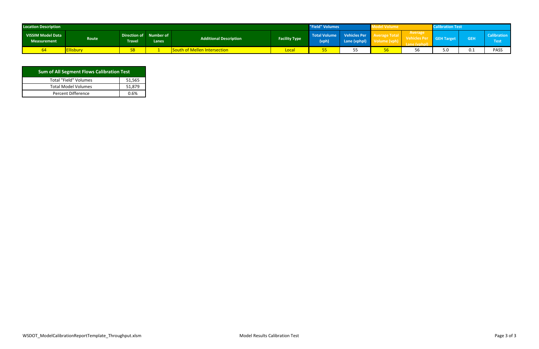| <b>Location Description</b>                    |                   |                                  |       |                               | "Field" Volumes      |                       | <b>Nel Volume</b>                   |  | <b>libration Test</b>    |                   |            |                                |
|------------------------------------------------|-------------------|----------------------------------|-------|-------------------------------|----------------------|-----------------------|-------------------------------------|--|--------------------------|-------------------|------------|--------------------------------|
| <b>VISSIM Model Data</b><br><b>Measurement</b> | Route             | Direction of Number of<br>Travel | Lanes | <b>Additional Description</b> | <b>Facility Type</b> | Total Volume<br>(vph) | <b>Vehicles Per</b><br>Lane (vphpl) |  | Average<br>Sale Vehicles | <b>GEH Target</b> | <b>GEH</b> | <b>SCali</b><br>ration<br>Test |
|                                                | <u>illisbury:</u> |                                  |       | South of Mellen Intersection  | Loca                 | ∼                     |                                     |  | 56                       | J.U               | 0.1        | <b>PASS</b>                    |

| <b>Sum of All Segment Flows Calibration Test</b> |        |  |  |  |  |  |  |  |
|--------------------------------------------------|--------|--|--|--|--|--|--|--|
| <b>Total "Field" Volumes</b>                     | 51,565 |  |  |  |  |  |  |  |
| <b>Total Model Volumes</b>                       | 51,879 |  |  |  |  |  |  |  |
| Percent Difference                               | በ 6%   |  |  |  |  |  |  |  |